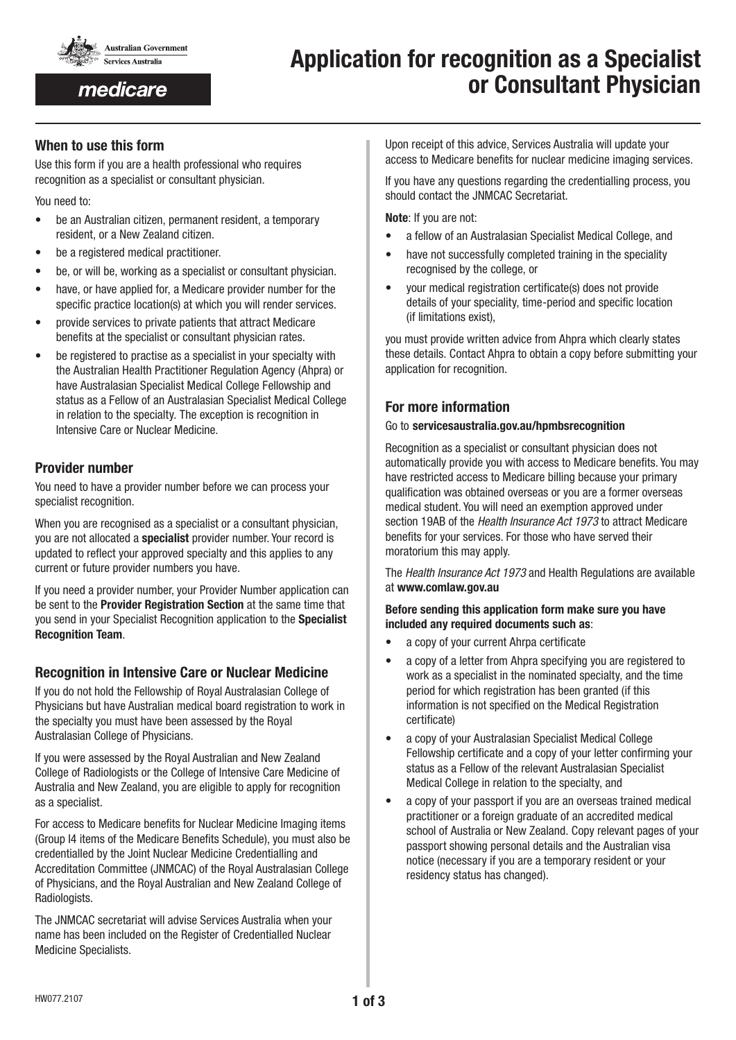

medicare

# Application for recognition as a Specialist or Consultant Physician

# When to use this form

Use this form if you are a health professional who requires recognition as a specialist or consultant physician.

You need to:

- be an Australian citizen, permanent resident, a temporary resident, or a New Zealand citizen.
- be a registered medical practitioner.
- be, or will be, working as a specialist or consultant physician.
- have, or have applied for, a Medicare provider number for the specific practice location(s) at which you will render services.
- provide services to private patients that attract Medicare benefits at the specialist or consultant physician rates.
- be registered to practise as a specialist in your specialty with the Australian Health Practitioner Regulation Agency (Ahpra) or have Australasian Specialist Medical College Fellowship and status as a Fellow of an Australasian Specialist Medical College in relation to the specialty. The exception is recognition in Intensive Care or Nuclear Medicine.

# Provider number

You need to have a provider number before we can process your specialist recognition.

When you are recognised as a specialist or a consultant physician. you are not allocated a specialist provider number. Your record is updated to reflect your approved specialty and this applies to any current or future provider numbers you have.

If you need a provider number, your Provider Number application can be sent to the Provider Registration Section at the same time that you send in your Specialist Recognition application to the Specialist Recognition Team.

# Recognition in Intensive Care or Nuclear Medicine

If you do not hold the Fellowship of Royal Australasian College of Physicians but have Australian medical board registration to work in the specialty you must have been assessed by the Royal Australasian College of Physicians.

If you were assessed by the Royal Australian and New Zealand College of Radiologists or the College of Intensive Care Medicine of Australia and New Zealand, you are eligible to apply for recognition as a specialist.

For access to Medicare benefits for Nuclear Medicine Imaging items (Group I4 items of the Medicare Benefits Schedule), you must also be credentialled by the Joint Nuclear Medicine Credentialling and Accreditation Committee (JNMCAC) of the Royal Australasian College of Physicians, and the Royal Australian and New Zealand College of Radiologists.

The JNMCAC secretariat will advise Services Australia when your name has been included on the Register of Credentialled Nuclear Medicine Specialists.

Upon receipt of this advice, Services Australia will update your access to Medicare benefits for nuclear medicine imaging services.

If you have any questions regarding the credentialling process, you should contact the JNMCAC Secretariat.

Note: If you are not:

- a fellow of an Australasian Specialist Medical College, and
- have not successfully completed training in the speciality recognised by the college, or
- your medical registration certificate(s) does not provide details of your speciality, time-period and specific location (if limitations exist),

you must provide written advice from Ahpra which clearly states these details. Contact Ahpra to obtain a copy before submitting your application for recognition.

# For more information

#### Go to servicesaustralia.gov.au/hpmbsrecognition

Recognition as a specialist or consultant physician does not automatically provide you with access to Medicare benefits. You may have restricted access to Medicare billing because your primary qualification was obtained overseas or you are a former overseas medical student. You will need an exemption approved under section 19AB of the *Health Insurance Act 1973* to attract Medicare benefits for your services. For those who have served their moratorium this may apply.

The *Health Insurance Act 1973* and Health Regulations are available at www.comlaw.gov.au

#### Before sending this application form make sure you have included any required documents such as:

- a copy of your current Ahrpa certificate
- a copy of a letter from Ahpra specifying you are registered to work as a specialist in the nominated specialty, and the time period for which registration has been granted (if this information is not specified on the Medical Registration certificate)
- a copy of your Australasian Specialist Medical College Fellowship certificate and a copy of your letter confirming your status as a Fellow of the relevant Australasian Specialist Medical College in relation to the specialty, and
- a copy of your passport if you are an overseas trained medical practitioner or a foreign graduate of an accredited medical school of Australia or New Zealand. Copy relevant pages of your passport showing personal details and the Australian visa notice (necessary if you are a temporary resident or your residency status has changed).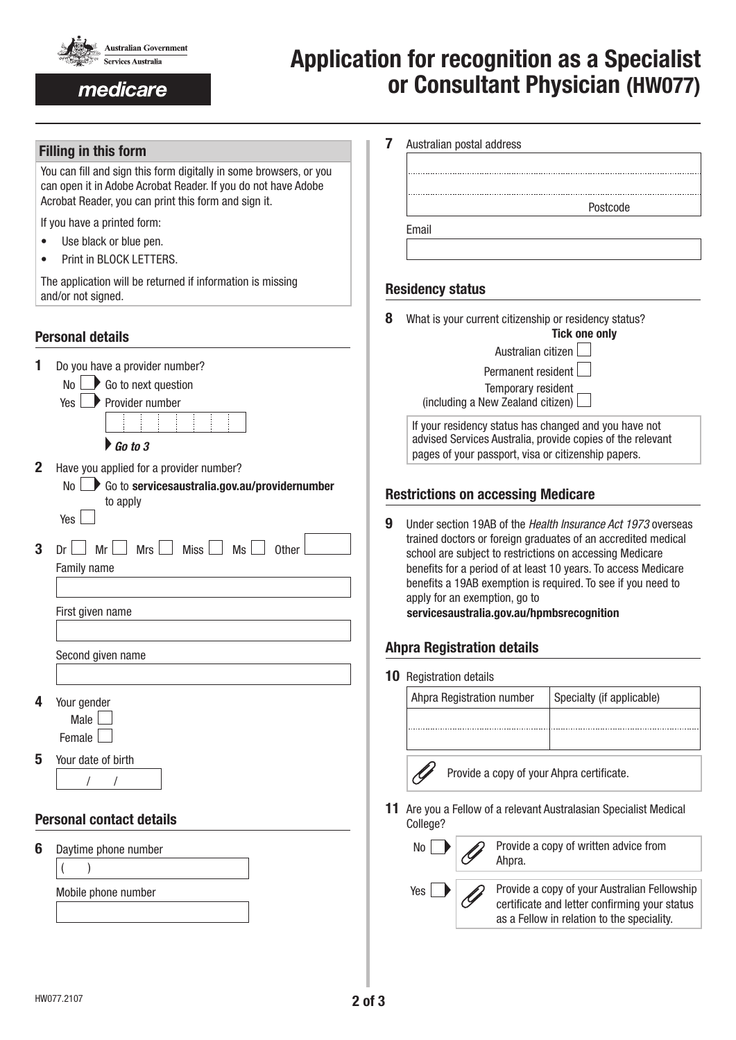

medicare

# Application for recognition as a Specialist or Consultant Physician (HW077)

## Filling in this form

You can fill and sign this form digitally in some browsers, or you can open it in Adobe Acrobat Reader. If you do not have Adobe Acrobat Reader, you can print this form and sign it.

If you have a printed form:

- Use black or blue pen.
- Print in BLOCK LETTERS.

The application will be returned if information is missing and/or not signed.

# Personal details

| 1              | Do you have a provider number?<br>$Yes \rightarrow Provider number$<br>$\triangleright$ Go to 3                                |
|----------------|--------------------------------------------------------------------------------------------------------------------------------|
| $\overline{2}$ | Have you applied for a provider number?<br>$No \rightarrow Co$ to servicesaustralia.gov.au/providernumber<br>to apply<br>Yes I |
| 3              | $Mr \tMrs$ Miss $Ms \tMss$ Other<br>$Dr \mid \;  $<br>Family name<br>First given name<br>Second given name                     |
| 4              | Your gender<br>Male $\vert$<br>Female                                                                                          |
| 5              | Your date of birth<br><b>Personal contact details</b>                                                                          |
| 6              | Daytime phone number<br>Mobile phone number                                                                                    |

|   | Australian postal address                                                                                         |
|---|-------------------------------------------------------------------------------------------------------------------|
|   |                                                                                                                   |
|   |                                                                                                                   |
|   |                                                                                                                   |
|   | Postcode                                                                                                          |
|   | Email                                                                                                             |
|   |                                                                                                                   |
|   |                                                                                                                   |
|   |                                                                                                                   |
|   | <b>Residency status</b>                                                                                           |
|   |                                                                                                                   |
|   |                                                                                                                   |
| 8 | What is your current citizenship or residency status?                                                             |
|   | <b>Tick one only</b>                                                                                              |
|   | Australian citizen                                                                                                |
|   | Permanent resident                                                                                                |
|   |                                                                                                                   |
|   | Temporary resident                                                                                                |
|   | (including a New Zealand citizen)                                                                                 |
|   | If your residency status has changed and you have not                                                             |
|   | advised Services Australia, provide copies of the relevant<br>pages of your passport, visa or citizenship papers. |

## Restrictions on accessing Medicare

9 Under section 19AB of the *Health Insurance Act 1973* overseas trained doctors or foreign graduates of an accredited medical school are subject to restrictions on accessing Medicare benefits for a period of at least 10 years. To access Medicare benefits a 19AB exemption is required. To see if you need to apply for an exemption, go to servicesaustralia.gov.au/hpmbsrecognition

# Ahpra Registration details

10 Registration details

| Ahpra Registration number | Specialty (if applicable) |
|---------------------------|---------------------------|
|                           |                           |
|                           |                           |

- Provide a copy of your Ahpra certificate.
- 11 Are you a Fellow of a relevant Australasian Specialist Medical College?

| No  | Provide a copy of written advice from<br>Ahpra.                                                                                             |
|-----|---------------------------------------------------------------------------------------------------------------------------------------------|
| Yes | Provide a copy of your Australian Fellowship<br>certificate and letter confirming your status<br>as a Fellow in relation to the speciality. |